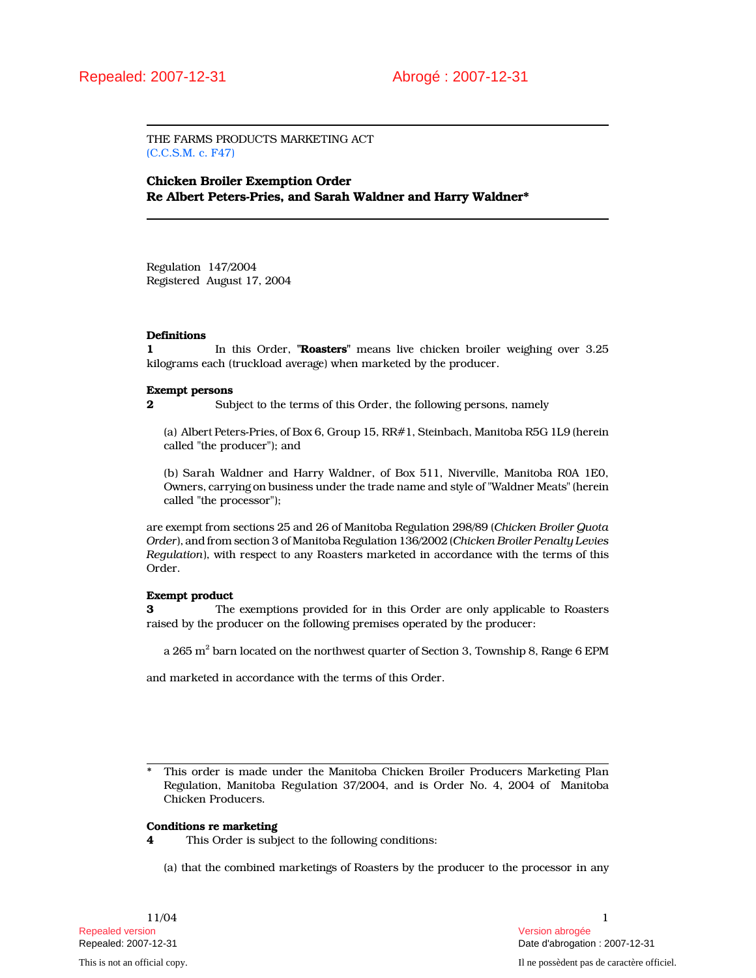THE FARMS PRODUCTS MARKETING ACT (C.C.S.M. c. F47)

Chicken Broiler Exemption Order Re Albert Peters-Pries, and Sarah Waldner and Harry Waldner\*

Regulation 147/2004 Registered August 17, 2004

## **Definitions**

1 In this Order, "**Roasters**" means live chicken broiler weighing over 3.25 kilograms each (truckload average) when marketed by the producer.

### Exempt persons

2 Subject to the terms of this Order, the following persons, namely

(a) Albert Peters-Pries, of Box 6, Group 15, RR#1, Steinbach, Manitoba R5G 1L9 (herein called "the producer"); and

(b) Sarah Waldner and Harry Waldner, of Box 511, Niverville, Manitoba R0A 1E0, Owners, carrying on business under the trade name and style of "Waldner Meats" (herein called "the processor");

are exempt from sections 25 and 26 of Manitoba Regulation 298/89 (Chicken Broiler Quota Order), and from section 3 of Manitoba Regulation 136/2002 (Chicken Broiler Penalty Levies Regulation), with respect to any Roasters marketed in accordance with the terms of this Order.

# Exempt product

3 The exemptions provided for in this Order are only applicable to Roasters raised by the producer on the following premises operated by the producer:

a 265  $\mathrm{m}^2$  barn located on the northwest quarter of Section 3, Township 8, Range 6 EPM

and marketed in accordance with the terms of this Order.

l, \* This order is made under the Manitoba Chicken Broiler Producers Marketing Plan Regulation, Manitoba Regulation 37/2004, and is Order No. 4, 2004 of Manitoba Chicken Producers.

### Conditions re marketing

4 This Order is subject to the following conditions:

(a) that the combined marketings of Roasters by the producer to the processor in any

Repealed version Version abrogée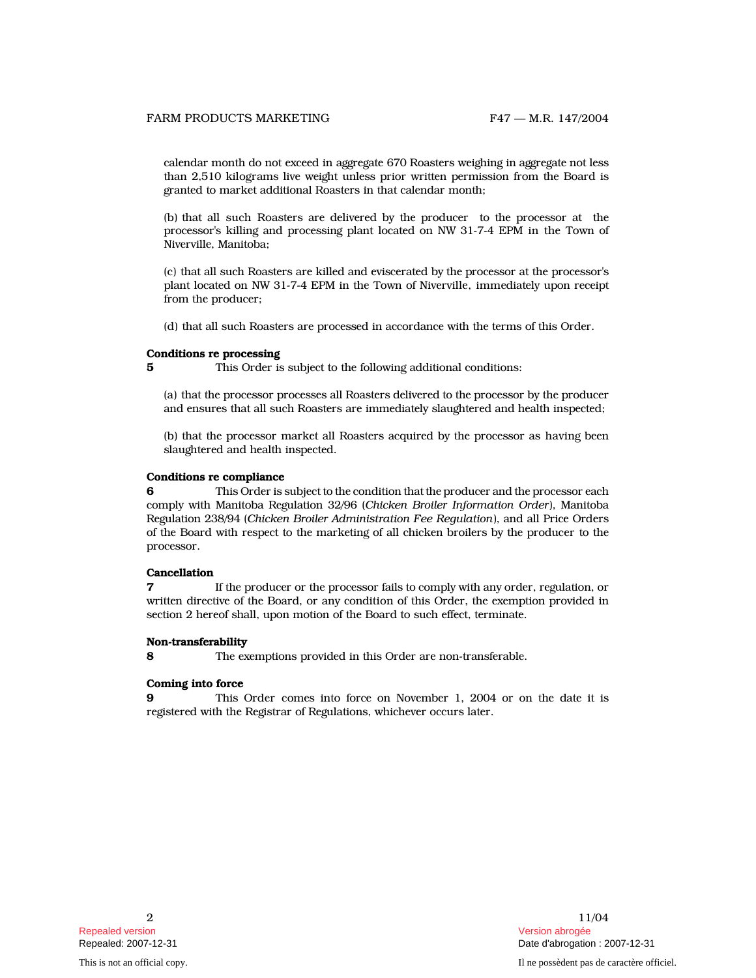calendar month do not exceed in aggregate 670 Roasters weighing in aggregate not less than 2,510 kilograms live weight unless prior written permission from the Board is granted to market additional Roasters in that calendar month;

(b) that all such Roasters are delivered by the producer to the processor at the processor's killing and processing plant located on NW 31-7-4 EPM in the Town of Niverville, Manitoba;

(c) that all such Roasters are killed and eviscerated by the processor at the processor's plant located on NW 31-7-4 EPM in the Town of Niverville, immediately upon receipt from the producer;

(d) that all such Roasters are processed in accordance with the terms of this Order.

### Conditions re processing

5 This Order is subject to the following additional conditions:

(a) that the processor processes all Roasters delivered to the processor by the producer and ensures that all such Roasters are immediately slaughtered and health inspected;

(b) that the processor market all Roasters acquired by the processor as having been slaughtered and health inspected.

# Conditions re compliance

6 This Order is subject to the condition that the producer and the processor each comply with Manitoba Regulation 32/96 (Chicken Broiler Information Order), Manitoba Regulation 238/94 (Chicken Broiler Administration Fee Regulation), and all Price Orders of the Board with respect to the marketing of all chicken broilers by the producer to the processor.

### Cancellation

If the producer or the processor fails to comply with any order, regulation, or written directive of the Board, or any condition of this Order, the exemption provided in section 2 hereof shall, upon motion of the Board to such effect, terminate.

### Non-transferability

8 The exemptions provided in this Order are non-transferable.

## Coming into force

This Order comes into force on November 1, 2004 or on the date it is registered with the Registrar of Regulations, whichever occurs later.